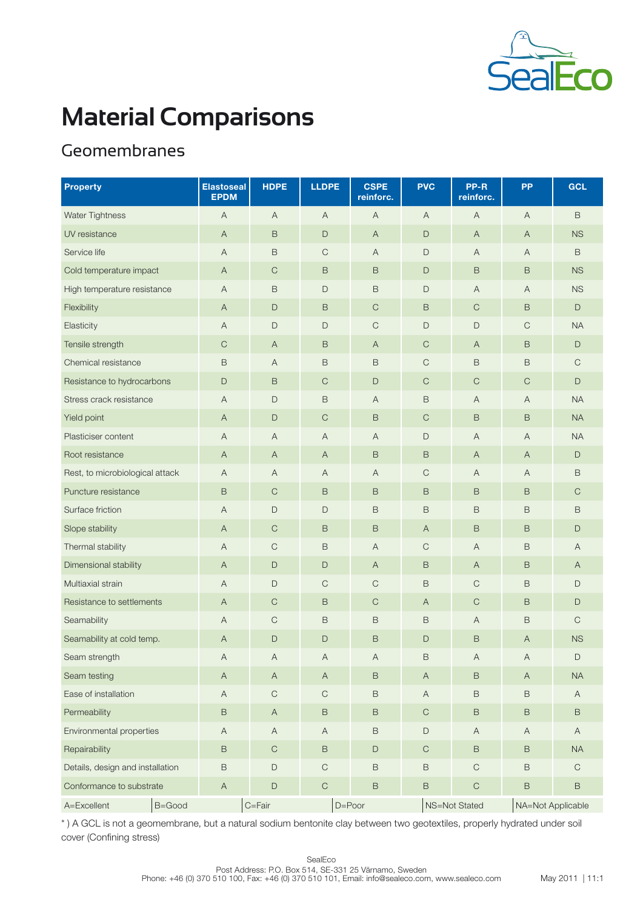

# Geomembranes

| <b>Property</b>                  | <b>Elastoseal</b><br><b>EPDM</b> | <b>HDPE</b>               | <b>LLDPE</b>              | <b>CSPE</b><br>reinforc. | <b>PVC</b>                | PP-R<br>reinforc. | <b>PP</b>                 | <b>GCL</b>   |
|----------------------------------|----------------------------------|---------------------------|---------------------------|--------------------------|---------------------------|-------------------|---------------------------|--------------|
| <b>Water Tightness</b>           | A                                | $\mathsf{A}$              | $\overline{A}$            | A                        | $\mathsf{A}$              | $\mathsf{A}$      | A                         | $\mathsf B$  |
| UV resistance                    | A                                | B                         | $\mathsf{D}$              | $\mathsf{A}$             | $\Box$                    | $\mathsf{A}$      | A                         | <b>NS</b>    |
| Service life                     | A                                | B                         | $\mathsf C$               | $\overline{A}$           | $\mathsf D$               | Α                 | Α                         | $\mathsf B$  |
| Cold temperature impact          | $\overline{A}$                   | $\mathsf C$               | $\,$ B                    | $\mathsf B$              | $\mathsf D$               | $\mathsf B$       | $\mathsf B$               | <b>NS</b>    |
| High temperature resistance      | $\overline{A}$                   | B                         | $\mathsf{D}$              | $\mathsf B$              | $\mathsf{D}$              | $\overline{A}$    | Α                         | <b>NS</b>    |
| Flexibility                      | $\overline{A}$                   | $\mathsf D$               | B                         | $\mathsf{C}$             | B                         | $\mathsf{C}$      | $\mathsf B$               | $\mathsf D$  |
| Elasticity                       | A                                | $\mathsf{D}%$             | $\mathsf{D}$              | $\mathsf C$              | $\mathsf D$               | $\mathsf D$       | $\mathsf C$               | <b>NA</b>    |
| Tensile strength                 | $\mathsf C$                      | $\overline{A}$            | B                         | $\overline{A}$           | $\mathsf C$               | $\mathsf{A}$      | B                         | $\mathsf D$  |
| Chemical resistance              | $\mathsf B$                      | Α                         | B                         | $\,$ B                   | $\mathsf C$               | $\mathsf B$       | $\mathsf B$               | $\mathsf{C}$ |
| Resistance to hydrocarbons       | $\mathsf{D}$                     | $\mathsf B$               | $\mathsf C$               | $\mathsf{D}%$            | $\mathsf C$               | $\mathsf C$       | $\mathsf C$               | $\mathsf D$  |
| Stress crack resistance          | $\overline{A}$                   | D                         | $\,$ B                    | $\overline{A}$           | $\,$ B                    | $\overline{A}$    | $\overline{A}$            | <b>NA</b>    |
| Yield point                      | A                                | $\mathsf{D}$              | $\mathsf C$               | $\,$ B                   | $\mathsf C$               | $\mathsf B$       | $\mathsf B$               | <b>NA</b>    |
| Plasticiser content              | A                                | A                         | $\overline{A}$            | A                        | $\mathsf D$               | $\overline{A}$    | Α                         | <b>NA</b>    |
| Root resistance                  | $\overline{A}$                   | $\mathsf{A}$              | $\overline{A}$            | $\,$ B                   | $\,$ B                    | $\mathsf{A}$      | $\mathsf{A}$              | D            |
| Rest, to microbiological attack  | A                                | Α                         | $\boldsymbol{\mathsf{A}}$ | $\overline{A}$           | $\mathsf C$               | $\overline{A}$    | Α                         | $\mathsf B$  |
| Puncture resistance              | B                                | $\mathsf{C}$              | B                         | $\mathsf B$              | $\mathsf B$               | $\mathsf B$       | B                         | $\mathsf{C}$ |
| Surface friction                 | A                                | D                         | $\mathsf{D}$              | $\mathsf B$              | $\,$ B                    | $\mathsf B$       | $\mathsf B$               | $\mathsf B$  |
| Slope stability                  | A                                | $\mathsf{C}$              | $\overline{B}$            | $\,$ B                   | $\mathsf{A}$              | $\mathsf B$       | $\mathsf B$               | $\mathsf D$  |
| Thermal stability                | A                                | $\mathsf C$               | $\,$ B                    | $\overline{A}$           | $\mathsf C$               | Α                 | $\mathsf B$               | Α            |
| Dimensional stability            | $\overline{A}$                   | $\mathsf D$               | $\mathsf D$               | $\overline{A}$           | $\,$ B                    | $\mathsf{A}$      | $\mathsf B$               | $\mathsf{A}$ |
| Multiaxial strain                | A                                | D                         | $\mathsf C$               | $\mathsf{C}$             | $\,$ B                    | $\mathsf C$       | B                         | D            |
| Resistance to settlements        | A                                | $\mathsf C$               | $\,$ B                    | $\mathsf{C}$             | $\overline{A}$            | $\mathsf C$       | $\mathsf B$               | $\mathsf D$  |
| Seamability                      | A                                | $\mathsf C$               | $\,$ B                    | $\,$ B                   | $\mathsf B$               | $\overline{A}$    | B                         | $\mathsf C$  |
| Seamability at cold temp.        | $\overline{A}$                   | $\mathsf D$               | $\mathsf{D}$              | $\mathsf B$              | $\mathsf{D}$              | $\mathsf B$       | $\boldsymbol{\mathsf{A}}$ | <b>NS</b>    |
| Seam strength                    | A                                | $\mathsf A$               | $\mathsf A$               | A                        | $\,$ B                    | Α                 | $\mathsf A$               | D            |
| Seam testing                     | $\mathsf{A}$                     | $\mathsf{A}$              | $\boldsymbol{\mathsf{A}}$ | $\,$ B                   | $\boldsymbol{\mathsf{A}}$ | $\,$ B            | $\mathsf{A}$              | <b>NA</b>    |
| Ease of installation             | $\boldsymbol{\mathsf{A}}$        | $\mathsf C$               | $\mathsf C$               | $\mathsf B$              | $\mathsf A$               | $\,$ B            | $\mathsf B$               | A            |
| Permeability                     | $\mathsf B$                      | $\mathsf{A}$              | $\,$ B                    | $\,$ B                   | $\mathsf C$               | $\mathsf B$       | $\mathsf B$               | $\,$ B       |
| Environmental properties         | $\boldsymbol{\mathsf{A}}$        | $\boldsymbol{\mathsf{A}}$ | $\boldsymbol{\mathsf{A}}$ | $\,$ B                   | $\mathsf D$               | A                 | A                         | $\mathsf{A}$ |
| Repairability                    | $\mathsf B$                      | $\mathbf C$               | $\,$ B                    | $\mathsf D$              | $\mathsf C$               | $\,$ B            | $\mathsf B$               | <b>NA</b>    |
| Details, design and installation | $\mathsf B$                      | $\mathsf D$               | $\mathsf C$               | $\,$ B                   | $\mathsf B$               | $\mathbf C$       | $\mathsf B$               | $\mathbf C$  |
| Conformance to substrate         | $\mathsf A$                      | $\mathsf D$               | $\mathsf{C}$              | $\,$ B                   | $\mathsf B$               | $\mathsf C$       | $\mathsf B$               | $\,$ B       |
| A=Excellent<br>B=Good            |                                  | $C = Fair$                |                           | $D = P0$ or              |                           | NS=Not Stated     | NA=Not Applicable         |              |

\* ) A GCL is not a geomembrane, but a natural sodium bentonite clay between two geotextiles, properly hydrated under soil cover (Confining stress)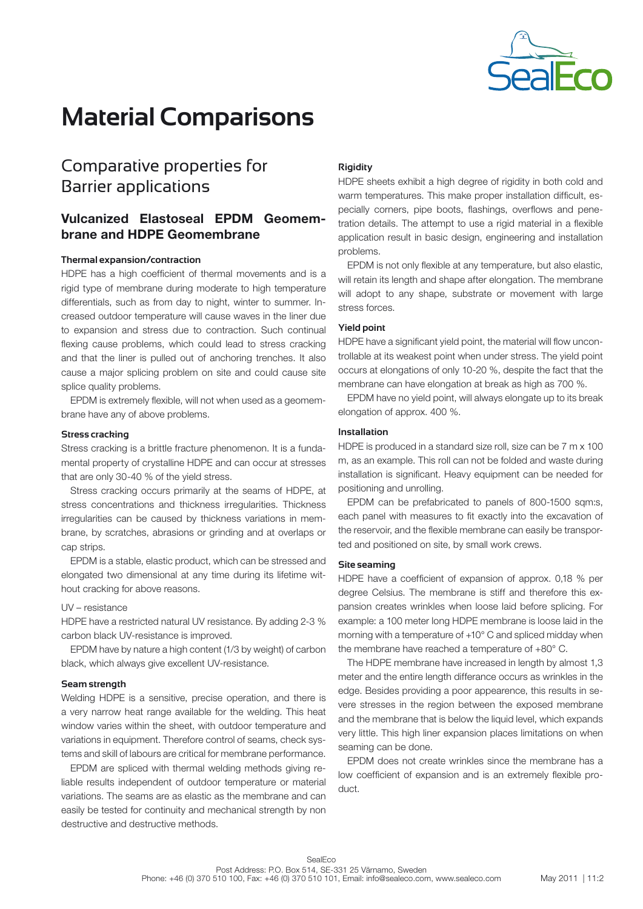

# Comparative properties for Barrier applications

# Vulcanized Elastoseal EPDM Geomembrane and HDPE Geomembrane

## **Thermal expansion/contraction**

HDPE has a high coefficient of thermal movements and is a rigid type of membrane during moderate to high temperature differentials, such as from day to night, winter to summer. Increased outdoor temperature will cause waves in the liner due to expansion and stress due to contraction. Such continual flexing cause problems, which could lead to stress cracking and that the liner is pulled out of anchoring trenches. It also cause a major splicing problem on site and could cause site splice quality problems.

EPDM is extremely flexible, will not when used as a geomembrane have any of above problems.

### **Stress cracking**

Stress cracking is a brittle fracture phenomenon. It is a fundamental property of crystalline HDPE and can occur at stresses that are only 30-40 % of the yield stress.

Stress cracking occurs primarily at the seams of HDPE, at stress concentrations and thickness irregularities. Thickness irregularities can be caused by thickness variations in membrane, by scratches, abrasions or grinding and at overlaps or cap strips.

EPDM is a stable, elastic product, which can be stressed and elongated two dimensional at any time during its lifetime without cracking for above reasons.

### UV – resistance

HDPE have a restricted natural UV resistance. By adding 2-3 % carbon black UV-resistance is improved.

EPDM have by nature a high content (1/3 by weight) of carbon black, which always give excellent UV-resistance.

### **Seam strength**

Welding HDPE is a sensitive, precise operation, and there is a very narrow heat range available for the welding. This heat window varies within the sheet, with outdoor temperature and variations in equipment. Therefore control of seams, check systems and skill of labours are critical for membrane performance.

EPDM are spliced with thermal welding methods giving reliable results independent of outdoor temperature or material variations. The seams are as elastic as the membrane and can easily be tested for continuity and mechanical strength by non destructive and destructive methods.

### **Rigidity**

HDPE sheets exhibit a high degree of rigidity in both cold and warm temperatures. This make proper installation difficult, especially corners, pipe boots, flashings, overflows and penetration details. The attempt to use a rigid material in a flexible application result in basic design, engineering and installation problems.

EPDM is not only flexible at any temperature, but also elastic, will retain its length and shape after elongation. The membrane will adopt to any shape, substrate or movement with large stress forces.

# **Yield point**

HDPE have a significant yield point, the material will flow uncontrollable at its weakest point when under stress. The yield point occurs at elongations of only 10-20 %, despite the fact that the membrane can have elongation at break as high as 700 %.

EPDM have no yield point, will always elongate up to its break elongation of approx. 400 %.

### **Installation**

HDPE is produced in a standard size roll, size can be 7 m x 100 m, as an example. This roll can not be folded and waste during installation is significant. Heavy equipment can be needed for positioning and unrolling.

EPDM can be prefabricated to panels of 800-1500 sqm:s, each panel with measures to fit exactly into the excavation of the reservoir, and the flexible membrane can easily be transported and positioned on site, by small work crews.

#### **Site seaming**

HDPE have a coefficient of expansion of approx. 0,18 % per degree Celsius. The membrane is stiff and therefore this expansion creates wrinkles when loose laid before splicing. For example: a 100 meter long HDPE membrane is loose laid in the morning with a temperature of +10° C and spliced midday when the membrane have reached a temperature of +80° C.

The HDPE membrane have increased in length by almost 1,3 meter and the entire length differance occurs as wrinkles in the edge. Besides providing a poor appearence, this results in severe stresses in the region between the exposed membrane and the membrane that is below the liquid level, which expands very little. This high liner expansion places limitations on when seaming can be done.

EPDM does not create wrinkles since the membrane has a low coefficient of expansion and is an extremely flexible product.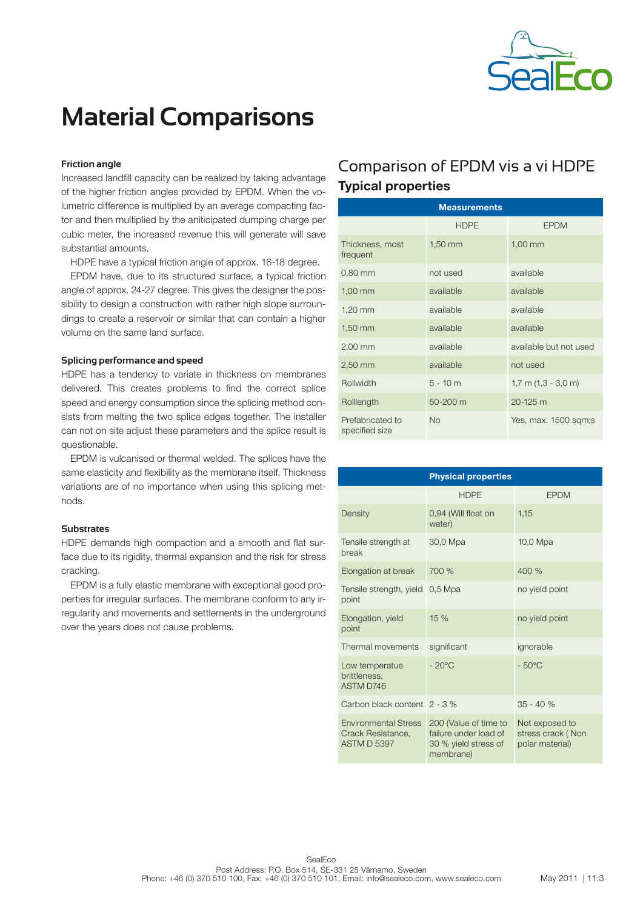

## **Friction angle**

Increased landfill capacity can be realized by taking advantage of the higher friction angles provided by EPDM. When the volumetric difference is multiplied by an average compacting factor and then multiplied by the aniticipated dumping charge per cubic meter, the increased revenue this will generate will save substantial amounts.

HDPE have a typical friction angle of approx. 16-18 degree.

EPDM have, due to its structured surface, a typical friction angle of approx. 24-27 degree. This gives the designer the possibility to design a construction with rather high slope surroundings to create a reservoir or similar that can contain a higher volume on the same land surface.

# **Splicing performance and speed**

HDPE has a tendency to variate in thickness on membranes delivered. This creates problems to find the correct splice speed and energy consumption since the splicing method consists from melting the two splice edges together. The installer can not on site adjust these parameters and the splice result is questionable.

EPDM is vulcanised or thermal welded. The splices have the same elasticity and flexibility as the membrane itself. Thickness variations are of no importance when using this splicing methods.

### **Substrates**

HDPE demands high compaction and a smooth and flat surface due to its rigidity, thermal expansion and the risk for stress cracking.

EPDM is a fully elastic membrane with exceptional good properties for irregular surfaces. The membrane conform to any irregularity and movements and settlements in the underground over the years does not cause problems.

# Comparison of EPDM vis a vi HDPE Typical properties

| <b>Measurements</b>                |             |                         |  |  |  |
|------------------------------------|-------------|-------------------------|--|--|--|
|                                    | <b>HDPE</b> | <b>EPDM</b>             |  |  |  |
| Thickness, most<br>frequent        | $1,50$ mm   | $1,00$ mm               |  |  |  |
| $0.80$ mm                          | not used    | available               |  |  |  |
| $1,00$ mm                          | available   | available               |  |  |  |
| $1,20$ mm                          | available   | available               |  |  |  |
| $1,50$ mm                          | available   | available               |  |  |  |
| $2,00$ mm                          | available   | available but not used  |  |  |  |
| $2,50$ mm                          | available   | not used                |  |  |  |
| Rollwidth                          | $5 - 10m$   | $1,7$ m $(1,3 - 3,0$ m) |  |  |  |
| Rolllength                         | 50-200 m    | $20 - 125$ m            |  |  |  |
| Prefabricated to<br>specified size | <b>No</b>   | Yes, max. 1500 sqm;s    |  |  |  |

| <b>Physical properties</b>                                             |                                                                                     |                                                        |  |  |
|------------------------------------------------------------------------|-------------------------------------------------------------------------------------|--------------------------------------------------------|--|--|
|                                                                        | <b>HDPE</b>                                                                         | <b>EPDM</b>                                            |  |  |
| Density                                                                | 0,94 (Will float on<br>water)                                                       | 1.15                                                   |  |  |
| Tensile strength at<br>break                                           | 30,0 Mpa                                                                            | 10,0 Mpa                                               |  |  |
| Elongation at break                                                    | 700 %                                                                               | 400 %                                                  |  |  |
| Tensile strength, yield<br>point                                       | $0.5$ Mpa                                                                           | no yield point                                         |  |  |
| Elongation, yield<br>point                                             | 15%                                                                                 | no yield point                                         |  |  |
| Thermal movements                                                      | significant                                                                         | ignorable                                              |  |  |
| Low temperatue<br>brittleness.<br>ASTM D746                            | $-20^{\circ}$ C                                                                     | $-50^{\circ}$ C                                        |  |  |
| Carbon black content 2 - 3 %                                           |                                                                                     | $35 - 40%$                                             |  |  |
| <b>Environmental Stress</b><br>Crack Resistance.<br><b>ASTM D 5397</b> | 200 (Value of time to<br>failure under load of<br>30 % yield stress of<br>membrane) | Not exposed to<br>stress crack (Non<br>polar material) |  |  |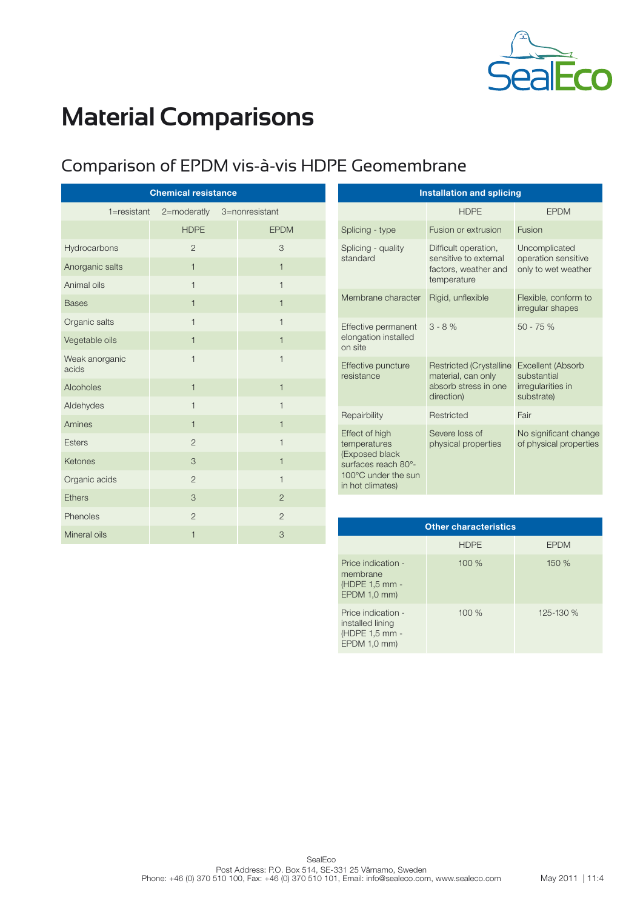

# Comparison of EPDM vis-à-vis HDPE Geomembrane

| <b>Chemical resistance</b> |                |  |                |  |
|----------------------------|----------------|--|----------------|--|
| $1 =$ resistant            | 2=moderatly    |  | 3=nonresistant |  |
|                            | <b>HDPE</b>    |  | <b>EPDM</b>    |  |
| Hydrocarbons               | $\overline{2}$ |  | 3              |  |
| Anorganic salts            | $\mathbf{1}$   |  | $\mathbf{1}$   |  |
| Animal oils                | $\overline{1}$ |  | $\mathbf{1}$   |  |
| <b>Bases</b>               | $\mathbf{1}$   |  | $\mathbf{1}$   |  |
| Organic salts              | $\overline{1}$ |  | $\mathbf{1}$   |  |
| Vegetable oils             | $\overline{1}$ |  | $\mathbf{1}$   |  |
| Weak anorganic<br>acids    | $\overline{1}$ |  | $\mathbf{1}$   |  |
| Alcoholes                  | $\mathbf{1}$   |  | $\mathbf{1}$   |  |
| Aldehydes                  | $\mathbf{1}$   |  | $\mathbf{1}$   |  |
| Amines                     | $\mathbf{1}$   |  | $\mathbf{1}$   |  |
| <b>Esters</b>              | $\overline{2}$ |  | $\mathbf{1}$   |  |
| Ketones                    | 3              |  | $\mathbf{1}$   |  |
| Organic acids              | $\overline{2}$ |  | $\mathbf{1}$   |  |
| <b>Ethers</b>              | 3              |  | $\overline{2}$ |  |
| Phenoles                   | $\overline{2}$ |  | $\overline{2}$ |  |
| Mineral oils               | $\mathbf{1}$   |  | 3              |  |

| <b>Installation and splicing</b>                                                                                   |                                                                                            |                                                                            |  |  |
|--------------------------------------------------------------------------------------------------------------------|--------------------------------------------------------------------------------------------|----------------------------------------------------------------------------|--|--|
|                                                                                                                    | <b>HDPE</b>                                                                                | <b>FPDM</b>                                                                |  |  |
| Splicing - type                                                                                                    | Fusion or extrusion                                                                        | Fusion                                                                     |  |  |
| Splicing - quality<br>standard                                                                                     | Difficult operation,<br>sensitive to external<br>factors, weather and<br>temperature       | Uncomplicated<br>operation sensitive<br>only to wet weather                |  |  |
| Membrane character                                                                                                 | Rigid, unflexible                                                                          | Flexible, conform to<br>irregular shapes                                   |  |  |
| Effective permanent<br>elongation installed<br>on site                                                             | $3 - 8%$                                                                                   | $50 - 75%$                                                                 |  |  |
| Effective puncture<br>resistance                                                                                   | <b>Restricted (Crystalline</b><br>material, can only<br>absorb stress in one<br>direction) | <b>Excellent (Absorb</b><br>substantial<br>irregularities in<br>substrate) |  |  |
| Repairbility                                                                                                       | Restricted                                                                                 | Fair                                                                       |  |  |
| Effect of high<br>temperatures<br>(Exposed black<br>surfaces reach 80°-<br>100°C under the sun<br>in hot climates) | Severe loss of<br>physical properties                                                      | No significant change<br>of physical properties                            |  |  |

| <b>Other characteristics</b>                                             |             |             |  |  |  |
|--------------------------------------------------------------------------|-------------|-------------|--|--|--|
|                                                                          | <b>HDPE</b> | <b>EPDM</b> |  |  |  |
| Price indication -<br>membrane<br>(HDPE 1,5 mm -<br>EPDM 1,0 mm)         | 100%        | 150 %       |  |  |  |
| Price indication -<br>installed lining<br>(HDPE 1,5 mm -<br>EPDM 1,0 mm) | 100 %       | 125-130 %   |  |  |  |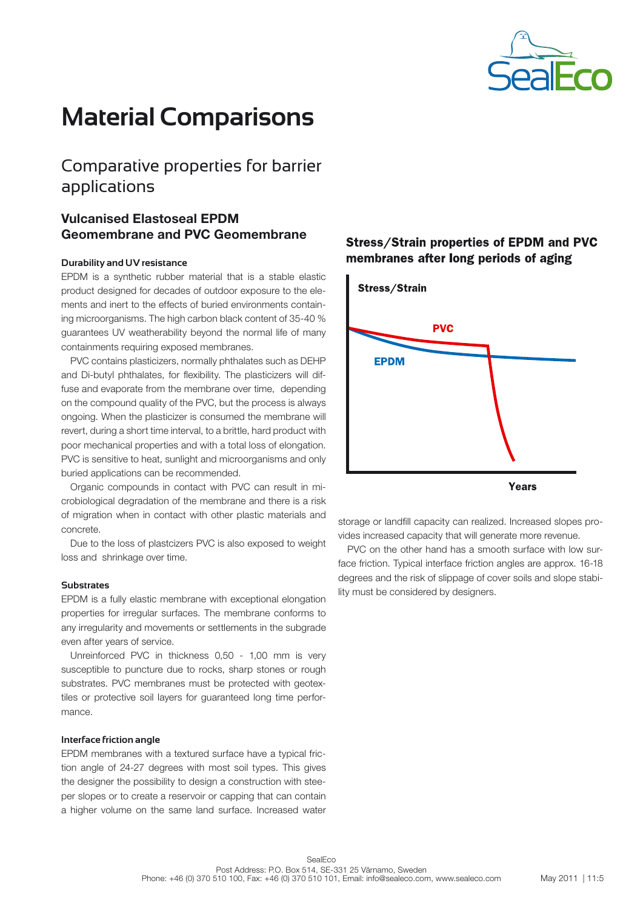

# Comparative properties for barrier applications

# Vulcanised Elastoseal EPDM Geomembrane and PVC Geomembrane

### **Durability and UV resistance**

EPDM is a synthetic rubber material that is a stable elastic product designed for decades of outdoor exposure to the elements and inert to the effects of buried environments containing microorganisms. The high carbon black content of 35-40 % guarantees UV weatherability beyond the normal life of many containments requiring exposed membranes.

PVC contains plasticizers, normally phthalates such as DEHP and Di-butyl phthalates, for flexibility. The plasticizers will diffuse and evaporate from the membrane over time, depending on the compound quality of the PVC, but the process is always ongoing. When the plasticizer is consumed the membrane will revert, during a short time interval, to a brittle, hard product with poor mechanical properties and with a total loss of elongation. PVC is sensitive to heat, sunlight and microorganisms and only buried applications can be recommended.

Organic compounds in contact with PVC can result in microbiological degradation of the membrane and there is a risk of migration when in contact with other plastic materials and concrete.

Due to the loss of plastcizers PVC is also exposed to weight loss and shrinkage over time.

# **Substrates**

EPDM is a fully elastic membrane with exceptional elongation properties for irregular surfaces. The membrane conforms to any irregularity and movements or settlements in the subgrade even after years of service.

Unreinforced PVC in thickness 0,50 - 1,00 mm is very susceptible to puncture due to rocks, sharp stones or rough substrates. PVC membranes must be protected with geotextiles or protective soil layers for guaranteed long time performance.

# **Interface friction angle**

EPDM membranes with a textured surface have a typical friction angle of 24-27 degrees with most soil types. This gives the designer the possibility to design a construction with steeper slopes or to create a reservoir or capping that can contain a higher volume on the same land surface. Increased water

# **Stress/Strain properties of EPDM and PVC** membranes after long periods of aging



storage or landfill capacity can realized. Increased slopes provides increased capacity that will generate more revenue.

PVC on the other hand has a smooth surface with low surface friction. Typical interface friction angles are approx. 16-18 degrees and the risk of slippage of cover soils and slope stability must be considered by designers.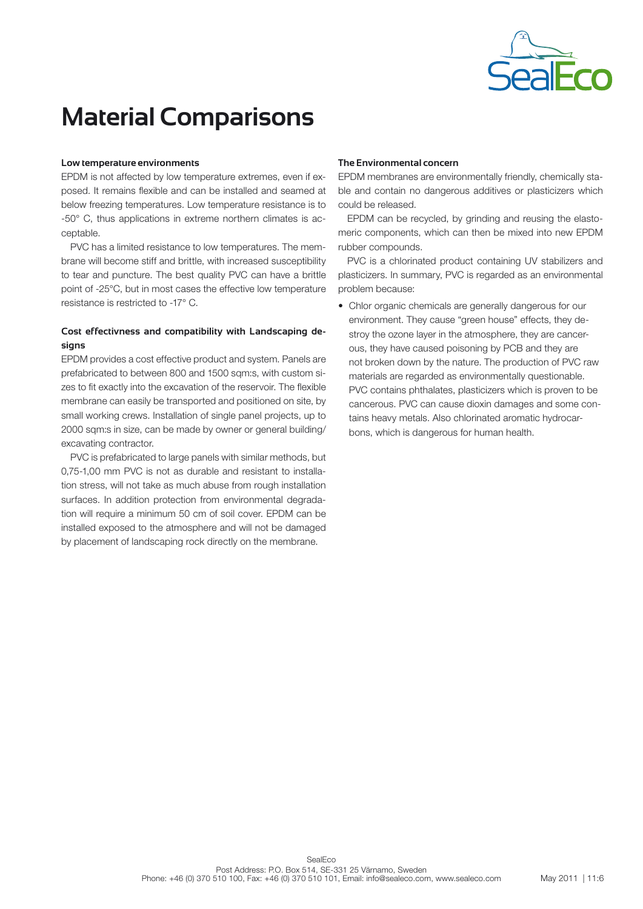

### **Low temperature environments**

EPDM is not affected by low temperature extremes, even if exposed. It remains flexible and can be installed and seamed at below freezing temperatures. Low temperature resistance is to -50° C, thus applications in extreme northern climates is acceptable.

PVC has a limited resistance to low temperatures. The membrane will become stiff and brittle, with increased susceptibility to tear and puncture. The best quality PVC can have a brittle point of -25°C, but in most cases the effective low temperature resistance is restricted to -17° C.

# **Cost effectivness and compatibility with Landscaping designs**

EPDM provides a cost effective product and system. Panels are prefabricated to between 800 and 1500 sqm:s, with custom sizes to fit exactly into the excavation of the reservoir. The flexible membrane can easily be transported and positioned on site, by small working crews. Installation of single panel projects, up to 2000 sqm:s in size, can be made by owner or general building/ excavating contractor.

PVC is prefabricated to large panels with similar methods, but 0,75-1,00 mm PVC is not as durable and resistant to installation stress, will not take as much abuse from rough installation surfaces. In addition protection from environmental degradation will require a minimum 50 cm of soil cover. EPDM can be installed exposed to the atmosphere and will not be damaged by placement of landscaping rock directly on the membrane.

## **The Environmental concern**

EPDM membranes are environmentally friendly, chemically stable and contain no dangerous additives or plasticizers which could be released.

EPDM can be recycled, by grinding and reusing the elastomeric components, which can then be mixed into new EPDM rubber compounds.

PVC is a chlorinated product containing UV stabilizers and plasticizers. In summary, PVC is regarded as an environmental problem because:

• Chlor organic chemicals are generally dangerous for our environment. They cause "green house" effects, they destroy the ozone layer in the atmosphere, they are cancer ous, they have caused poisoning by PCB and they are not broken down by the nature. The production of PVC raw materials are regarded as environmentally questionable. PVC contains phthalates, plasticizers which is proven to be cancerous. PVC can cause dioxin damages and some contains heavy metals. Also chlorinated aromatic hydrocarbons, which is dangerous for human health.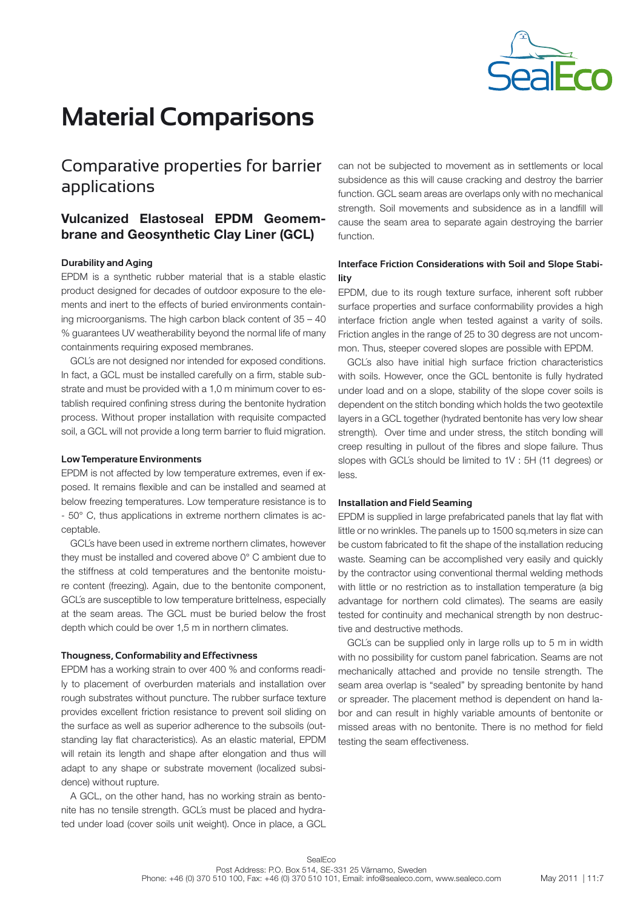

# Comparative properties for barrier applications

# Vulcanized Elastoseal EPDM Geomembrane and Geosynthetic Clay Liner (GCL)

## **Durability and Aging**

EPDM is a synthetic rubber material that is a stable elastic product designed for decades of outdoor exposure to the elements and inert to the effects of buried environments containing microorganisms. The high carbon black content of 35 – 40 % guarantees UV weatherability beyond the normal life of many containments requiring exposed membranes.

GCL´s are not designed nor intended for exposed conditions. In fact, a GCL must be installed carefully on a firm, stable substrate and must be provided with a 1,0 m minimum cover to establish required confining stress during the bentonite hydration process. Without proper installation with requisite compacted soil, a GCL will not provide a long term barrier to fluid migration.

#### **Low Temperature Environments**

EPDM is not affected by low temperature extremes, even if exposed. It remains flexible and can be installed and seamed at below freezing temperatures. Low temperature resistance is to - 50° C, thus applications in extreme northern climates is acceptable.

GCL´s have been used in extreme northern climates, however they must be installed and covered above 0° C ambient due to the stiffness at cold temperatures and the bentonite moisture content (freezing). Again, due to the bentonite component, GCL´s are susceptible to low temperature brittelness, especially at the seam areas. The GCL must be buried below the frost depth which could be over 1,5 m in northern climates.

## **Thougness, Conformability and Effectivness**

EPDM has a working strain to over 400 % and conforms readily to placement of overburden materials and installation over rough substrates without puncture. The rubber surface texture provides excellent friction resistance to prevent soil sliding on the surface as well as superior adherence to the subsoils (outstanding lay flat characteristics). As an elastic material, EPDM will retain its length and shape after elongation and thus will adapt to any shape or substrate movement (localized subsidence) without rupture.

A GCL, on the other hand, has no working strain as bentonite has no tensile strength. GCL´s must be placed and hydrated under load (cover soils unit weight). Once in place, a GCL can not be subjected to movement as in settlements or local subsidence as this will cause cracking and destroy the barrier function. GCL seam areas are overlaps only with no mechanical strength. Soil movements and subsidence as in a landfill will cause the seam area to separate again destroying the barrier function.

# **Interface Friction Considerations with Soil and Slope Stability**

EPDM, due to its rough texture surface, inherent soft rubber surface properties and surface conformability provides a high interface friction angle when tested against a varity of soils. Friction angles in the range of 25 to 30 degress are not uncommon. Thus, steeper covered slopes are possible with EPDM.

GCL´s also have initial high surface friction characteristics with soils. However, once the GCL bentonite is fully hydrated under load and on a slope, stability of the slope cover soils is dependent on the stitch bonding which holds the two geotextile layers in a GCL together (hydrated bentonite has very low shear strength). Over time and under stress, the stitch bonding will creep resulting in pullout of the fibres and slope failure. Thus slopes with GCL´s should be limited to 1V : 5H (11 degrees) or less.

#### **Installation and Field Seaming**

EPDM is supplied in large prefabricated panels that lay flat with little or no wrinkles. The panels up to 1500 sq.meters in size can be custom fabricated to fit the shape of the installation reducing waste. Seaming can be accomplished very easily and quickly by the contractor using conventional thermal welding methods with little or no restriction as to installation temperature (a big advantage for northern cold climates). The seams are easily tested for continuity and mechanical strength by non destructive and destructive methods.

GCL´s can be supplied only in large rolls up to 5 m in width with no possibility for custom panel fabrication. Seams are not mechanically attached and provide no tensile strength. The seam area overlap is "sealed" by spreading bentonite by hand or spreader. The placement method is dependent on hand labor and can result in highly variable amounts of bentonite or missed areas with no bentonite. There is no method for field testing the seam effectiveness.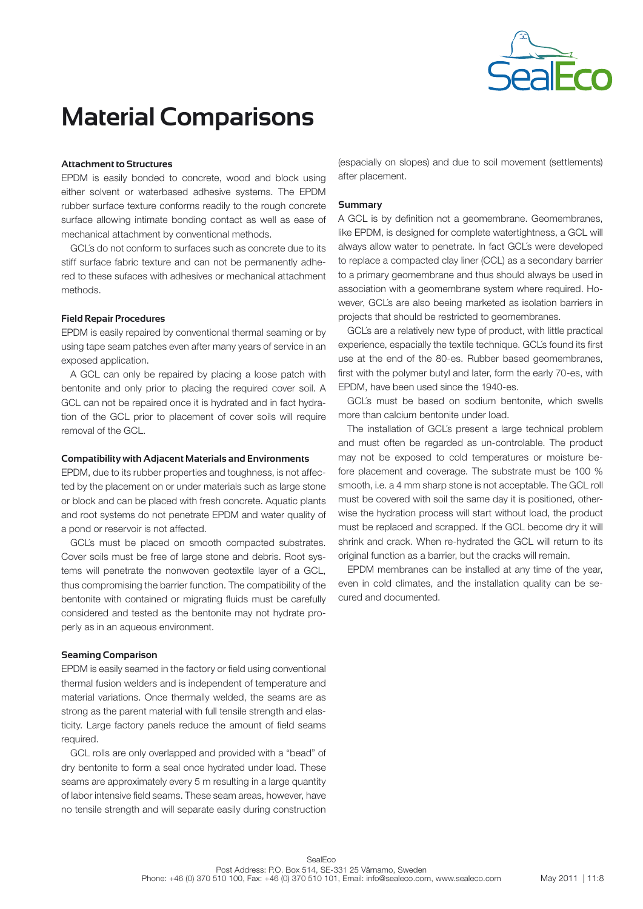

## **Attachment to Structures**

EPDM is easily bonded to concrete, wood and block using either solvent or waterbased adhesive systems. The EPDM rubber surface texture conforms readily to the rough concrete surface allowing intimate bonding contact as well as ease of mechanical attachment by conventional methods.

GCL´s do not conform to surfaces such as concrete due to its stiff surface fabric texture and can not be permanently adhered to these sufaces with adhesives or mechanical attachment methods.

## **Field Repair Procedures**

EPDM is easily repaired by conventional thermal seaming or by using tape seam patches even after many years of service in an exposed application.

A GCL can only be repaired by placing a loose patch with bentonite and only prior to placing the required cover soil. A GCL can not be repaired once it is hydrated and in fact hydration of the GCL prior to placement of cover soils will require removal of the GCL.

## **Compatibility with Adjacent Materials and Environments**

EPDM, due to its rubber properties and toughness, is not affected by the placement on or under materials such as large stone or block and can be placed with fresh concrete. Aquatic plants and root systems do not penetrate EPDM and water quality of a pond or reservoir is not affected.

GCL´s must be placed on smooth compacted substrates. Cover soils must be free of large stone and debris. Root systems will penetrate the nonwoven geotextile layer of a GCL, thus compromising the barrier function. The compatibility of the bentonite with contained or migrating fluids must be carefully considered and tested as the bentonite may not hydrate properly as in an aqueous environment.

# **Seaming Comparison**

EPDM is easily seamed in the factory or field using conventional thermal fusion welders and is independent of temperature and material variations. Once thermally welded, the seams are as strong as the parent material with full tensile strength and elasticity. Large factory panels reduce the amount of field seams required.

GCL rolls are only overlapped and provided with a "bead" of dry bentonite to form a seal once hydrated under load. These seams are approximately every 5 m resulting in a large quantity of labor intensive field seams. These seam areas, however, have no tensile strength and will separate easily during construction

(espacially on slopes) and due to soil movement (settlements) after placement.

# **Summary**

A GCL is by definition not a geomembrane. Geomembranes, like EPDM, is designed for complete watertightness, a GCL will always allow water to penetrate. In fact GCL´s were developed to replace a compacted clay liner (CCL) as a secondary barrier to a primary geomembrane and thus should always be used in association with a geomembrane system where required. However, GCL´s are also beeing marketed as isolation barriers in projects that should be restricted to geomembranes.

GCL´s are a relatively new type of product, with little practical experience, espacially the textile technique. GCL´s found its first use at the end of the 80-es. Rubber based geomembranes, first with the polymer butyl and later, form the early 70-es, with EPDM, have been used since the 1940-es.

GCL´s must be based on sodium bentonite, which swells more than calcium bentonite under load.

The installation of GCL´s present a large technical problem and must often be regarded as un-controlable. The product may not be exposed to cold temperatures or moisture before placement and coverage. The substrate must be 100 % smooth, i.e. a 4 mm sharp stone is not acceptable. The GCL roll must be covered with soil the same day it is positioned, otherwise the hydration process will start without load, the product must be replaced and scrapped. If the GCL become dry it will shrink and crack. When re-hydrated the GCL will return to its original function as a barrier, but the cracks will remain.

EPDM membranes can be installed at any time of the year, even in cold climates, and the installation quality can be secured and documented.